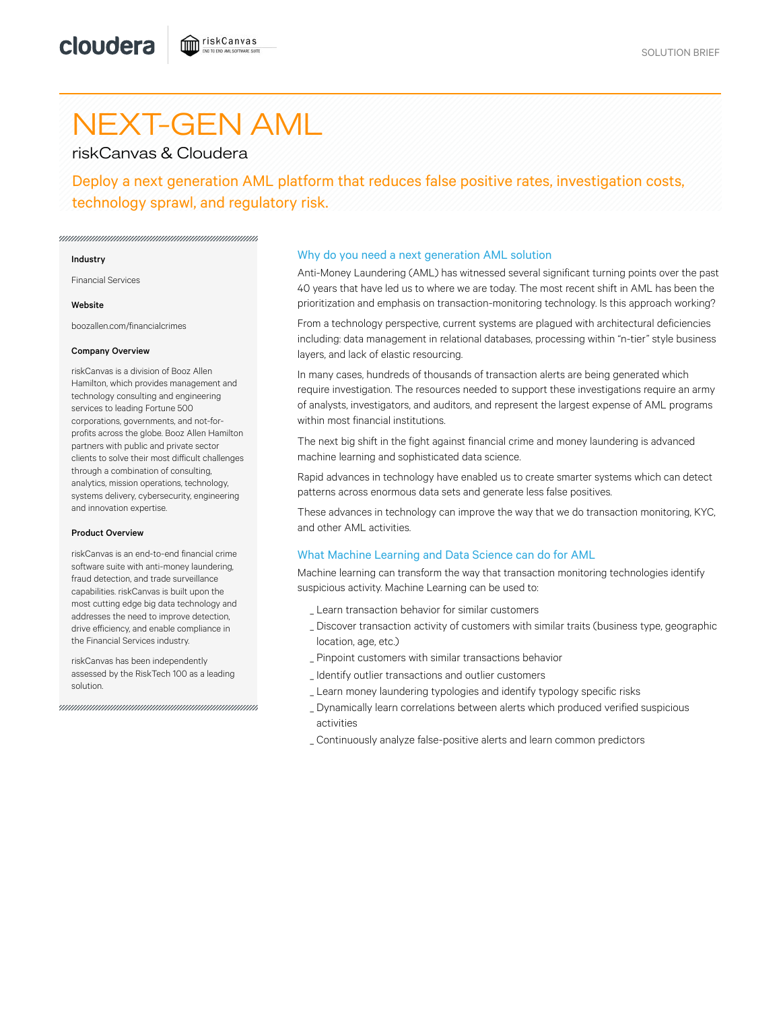# NEXT-GEN AML

riskCanvas & Cloudera

Deploy a next generation AML platform that reduces false positive rates, investigation costs, technology sprawl, and regulatory risk.

#### Industry

Financial Services

#### **Website**

boozallen.com/financialcrimes

#### Company Overview

riskCanvas is a division of Booz Allen Hamilton, which provides management and technology consulting and engineering services to leading Fortune 500 corporations, governments, and not-forprofits across the globe. Booz Allen Hamilton partners with public and private sector clients to solve their most difficult challenges through a combination of consulting, analytics, mission operations, technology, systems delivery, cybersecurity, engineering and innovation expertise.

#### Product Overview

riskCanvas is an end-to-end financial crime software suite with anti-money laundering, fraud detection, and trade surveillance capabilities. riskCanvas is built upon the most cutting edge big data technology and addresses the need to improve detection, drive efficiency, and enable compliance in the Financial Services industry.

riskCanvas has been independently assessed by the RiskTech 100 as a leading solution.

## Why do you need a next generation AML solution

Anti-Money Laundering (AML) has witnessed several significant turning points over the past 40 years that have led us to where we are today. The most recent shift in AML has been the prioritization and emphasis on transaction-monitoring technology. Is this approach working?

From a technology perspective, current systems are plagued with architectural deficiencies including: data management in relational databases, processing within "n-tier" style business layers, and lack of elastic resourcing.

In many cases, hundreds of thousands of transaction alerts are being generated which require investigation. The resources needed to support these investigations require an army of analysts, investigators, and auditors, and represent the largest expense of AML programs within most financial institutions.

The next big shift in the fight against financial crime and money laundering is advanced machine learning and sophisticated data science.

Rapid advances in technology have enabled us to create smarter systems which can detect patterns across enormous data sets and generate less false positives.

These advances in technology can improve the way that we do transaction monitoring, KYC, and other AML activities.

## What Machine Learning and Data Science can do for AML

Machine learning can transform the way that transaction monitoring technologies identify suspicious activity. Machine Learning can be used to:

- \_ Learn transaction behavior for similar customers
- Discover transaction activity of customers with similar traits (business type, geographic \_ location, age, etc.)
- \_ Pinpoint customers with similar transactions behavior
- \_ Identify outlier transactions and outlier customers
- \_ Learn money laundering typologies and identify typology specific risks
- Dynamically learn correlations between alerts which produced verified suspicious \_ activities
- \_ Continuously analyze false-positive alerts and learn common predictors